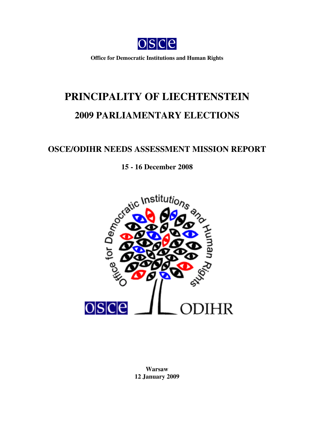

**Office for Democratic Institutions and Human Rights**

# **PRINCIPALITY OF LIECHTENSTEIN 2009 PARLIAMENTARY ELECTIONS**

# **OSCE/ODIHR NEEDS ASSESSMENT MISSION REPORT**

# **15 - 16 December 2008**



**Warsaw 12 January 2009**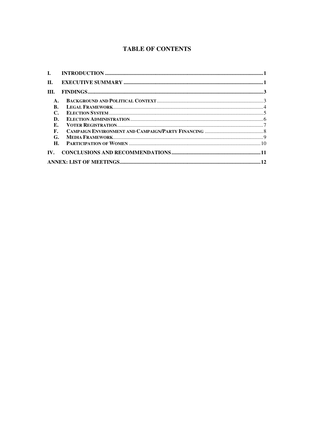# **TABLE OF CONTENTS**

| $\mathbf{I}$ . |  |  |
|----------------|--|--|
| $\Pi$ .        |  |  |
| III.           |  |  |
| $\mathbf{A}$   |  |  |
| В.             |  |  |
| $\mathbb{C}$   |  |  |
| D.             |  |  |
| E.             |  |  |
| $\mathbf{F}$ . |  |  |
| G.             |  |  |
| H.             |  |  |
| IV.            |  |  |
|                |  |  |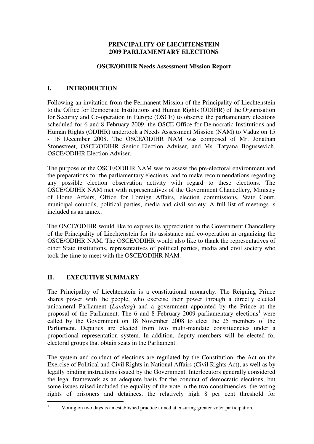#### **PRINCIPALITY OF LIECHTENSTEIN 2009 PARLIAMENTARY ELECTIONS**

#### **OSCE/ODIHR Needs Assessment Mission Report**

# **I. INTRODUCTION**

Following an invitation from the Permanent Mission of the Principality of Liechtenstein to the Office for Democratic Institutions and Human Rights (ODIHR) of the Organisation for Security and Co-operation in Europe (OSCE) to observe the parliamentary elections scheduled for 6 and 8 February 2009, the OSCE Office for Democratic Institutions and Human Rights (ODIHR) undertook a Needs Assessment Mission (NAM) to Vaduz on 15 - 16 December 2008. The OSCE/ODIHR NAM was composed of Mr. Jonathan Stonestreet, OSCE/ODIHR Senior Election Adviser, and Ms. Tatyana Bogussevich, OSCE/ODIHR Election Adviser.

The purpose of the OSCE/ODIHR NAM was to assess the pre-electoral environment and the preparations for the parliamentary elections, and to make recommendations regarding any possible election observation activity with regard to these elections. The OSCE/ODIHR NAM met with representatives of the Government Chancellery, Ministry of Home Affairs, Office for Foreign Affairs, election commissions, State Court, municipal councils, political parties, media and civil society. A full list of meetings is included as an annex.

The OSCE/ODIHR would like to express its appreciation to the Government Chancellery of the Principality of Liechtenstein for its assistance and co-operation in organizing the OSCE/ODIHR NAM. The OSCE/ODIHR would also like to thank the representatives of other State institutions, representatives of political parties, media and civil society who took the time to meet with the OSCE/ODIHR NAM.

# **II. EXECUTIVE SUMMARY**

The Principality of Liechtenstein is a constitutional monarchy. The Reigning Prince shares power with the people, who exercise their power through a directly elected unicameral Parliament (*Landtag*) and a government appointed by the Prince at the proposal of the Parliament. The 6 and 8 February 2009 parliamentary elections 1 were called by the Government on 18 November 2008 to elect the 25 members of the Parliament. Deputies are elected from two multi-mandate constituencies under a proportional representation system. In addition, deputy members will be elected for electoral groups that obtain seats in the Parliament.

The system and conduct of elections are regulated by the Constitution, the Act on the Exercise of Political and Civil Rights in National Affairs (Civil Rights Act), as well as by legally binding instructions issued by the Government. Interlocutors generally considered the legal framework as an adequate basis for the conduct of democratic elections, but some issues raised included the equality of the vote in the two constituencies, the voting rights of prisoners and detainees, the relatively high 8 per cent threshold for

<sup>&</sup>lt;sup>1</sup> Voting on two days is an established practice aimed at ensuring greater voter participation.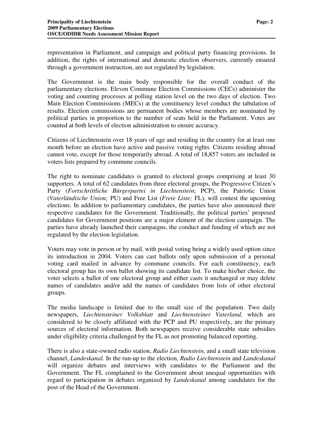representation in Parliament, and campaign and political party financing provisions. In addition, the rights of international and domestic election observers, currently ensured through a government instruction, are not regulated by legislation.

The Government is the main body responsible for the overall conduct of the parliamentary elections. Eleven Commune Election Commissions (CECs) administer the voting and counting processes at polling station level on the two days of election. Two Main Election Commissions (MECs) at the constituency level conduct the tabulation of results. Election commissions are permanent bodies whose members are nominated by political parties in proportion to the number of seats held in the Parliament. Votes are counted at both levels of election administration to ensure accuracy.

Citizens of Liechtenstein over 18 years of age and residing in the country for at least one month before an election have active and passive voting rights. Citizens residing abroad cannot vote, except for those temporarily abroad. A total of 18,857 voters are included in voters lists prepared by commune councils.

The right to nominate candidates is granted to electoral groups comprising at least 30 supporters. A total of 62 candidates from three electoral groups, the Progressive Citizen's Party (*Fortschrittliche Bürgerpartei in Liechtenstein*; PCP), the Patriotic Union (*Vaterländische Union;* PU) and Free List (*Freie Liste;* FL), will contest the upcoming elections. In addition to parliamentary candidates, the parties have also announced their respective candidates for the Government. Traditionally, the political parties' proposed candidates for Government positions are a major element of the election campaign. The parties have already launched their campaigns, the conduct and funding of which are not regulated by the election legislation.

Voters may vote in person or by mail, with postal voting being a widely used option since its introduction in 2004. Voters can cast ballots only upon submission of a personal voting card mailed in advance by commune councils. For each constituency, each electoral group has its own ballot showing its candidate list. To make his/her choice, the voter selects a ballot of one electoral group and either casts it unchanged or may delete names of candidates and/or add the names of candidates from lists of other electoral groups.

The media landscape is limited due to the small size of the population. Two daily newspapers, *Liechtensteiner Volksblatt* and *Liechtensteiner Vaterland,* which are considered to be closely affiliated with the PCP and PU respectively, are the primary sources of electoral information. Both newspapers receive considerable state subsidies under eligibility criteria challenged by the FL as not promoting balanced reporting.

There is also a state-owned radio station, *Radio Liechtenstein,* and a small state television channel, *Landeskanal.* In the run-up to the election, *Radio Liechtenstein* and *Landeskanal* will organize debates and interviews with candidates to the Parliament and the Government. The FL complained to the Government about unequal opportunities with regard to participation in debates organized by *Landeskanal* among candidates for the post of the Head of the Government.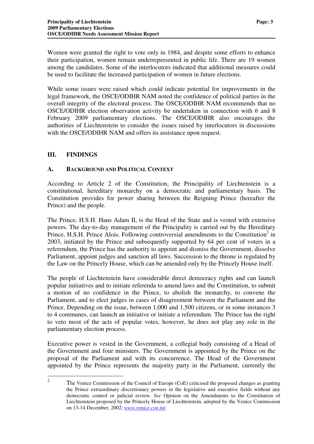Women were granted the right to vote only in 1984, and despite some efforts to enhance their participation, women remain underrepresented in public life. There are 19 women among the candidates. Some of the interlocutors indicated that additional measures could be used to facilitate the increased participation of women in future elections.

While some issues were raised which could indicate potential for improvements in the legal framework, the OSCE/ODIHR NAM noted the confidence of political parties in the overall integrity of the electoral process. The OSCE/ODIHR NAM recommends that no OSCE/ODIHR election observation activity be undertaken in connection with 6 and 8 February 2009 parliamentary elections. The OSCE/ODIHR also encourages the authorities of Liechtenstein to consider the issues raised by interlocutors in discussions with the OSCE/ODIHR NAM and offers its assistance upon request.

# **III. FINDINGS**

#### **A. BACKGROUND AND POLITICAL CONTEXT**

According to Article 2 of the Constitution, the Principality of Liechtenstein is a constitutional, hereditary monarchy on a democratic and parliamentary basis. The Constitution provides for power sharing between the Reigning Prince (hereafter the Prince) and the people.

The Prince, H.S.H. Hans Adam II, is the Head of the State and is vested with extensive powers. The day-to-day management of the Principality is carried out by the Hereditary Prince, H.S.H. Prince Alois. Following controversial amendments to the Constitution<sup>2</sup> in 2003, initiated by the Prince and subsequently supported by 64 per cent of voters in a referendum, the Prince has the authority to appoint and dismiss the Government, dissolve Parliament, appoint judges and sanction all laws. Succession to the throne is regulated by the Law on the Princely House, which can be amended only by the Princely House itself.

The people of Liechtenstein have considerable direct democracy rights and can launch popular initiatives and to initiate referenda to amend laws and the Constitution, to submit a motion of no confidence in the Prince, to abolish the monarchy, to convene the Parliament, and to elect judges in cases of disagreement between the Parliament and the Prince. Depending on the issue, between 1,000 and 1,500 citizens, or in some instances 3 to 4 communes, can launch an initiative or initiate a referendum. The Prince has the right to veto most of the acts of popular votes, however, he does not play any role in the parliamentary election process.

Executive power is vested in the Government, a collegial body consisting of a Head of the Government and four ministers. The Government is appointed by the Prince on the proposal of the Parliament and with its concurrence. The Head of the Government appointed by the Prince represents the majority party in the Parliament, currently the

<sup>2</sup> The Venice Commission of the Council of Europe (CoE) criticised the proposed changes as granting the Prince extraordinary discretionary powers in the legislative and executive fields without any democratic control or judicial review. *See* Opinion on the Amendments to the Constitution of Liechtenstein proposed by the Princely House of Liechtenstein, adopted by the Venice Commission on 13-14 December, 2002; *www.venice.coe.int.*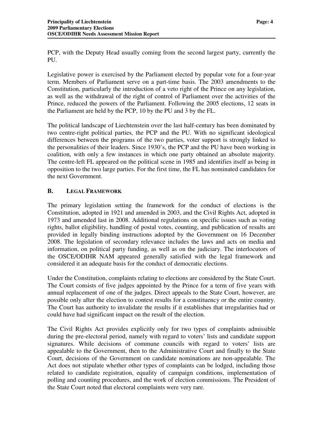PCP, with the Deputy Head usually coming from the second largest party, currently the PU.

Legislative power is exercised by the Parliament elected by popular vote for a four-year term. Members of Parliament serve on a part-time basis. The 2003 amendments to the Constitution, particularly the introduction of a veto right of the Prince on any legislation, as well as the withdrawal of the right of control of Parliament over the activities of the Prince, reduced the powers of the Parliament. Following the 2005 elections, 12 seats in the Parliament are held by the PCP, 10 by the PU and 3 by the FL.

The political landscape of Liechtenstein over the last half-century has been dominated by two centre-right political parties, the PCP and the PU. With no significant ideological differences between the programs of the two parties, voter support is strongly linked to the personalities of their leaders. Since 1930's, the PCP and the PU have been working in coalition, with only a few instances in which one party obtained an absolute majority. The centre-left FL appeared on the political scene in 1985 and identifies itself as being in opposition to the two large parties. For the first time, the FL has nominated candidates for the next Government.

# **B. LEGAL FRAMEWORK**

The primary legislation setting the framework for the conduct of elections is the Constitution, adopted in 1921 and amended in 2003, and the Civil Rights Act, adopted in 1973 and amended last in 2008. Additional regulations on specific issues such as voting rights, ballot eligibility, handling of postal votes, counting, and publication of results are provided in legally binding instructions adopted by the Government on 16 December 2008. The legislation of secondary relevance includes the laws and acts on media and information, on political party funding, as well as on the judiciary. The interlocutors of the OSCE/ODIHR NAM appeared generally satisfied with the legal framework and considered it an adequate basis for the conduct of democratic elections.

Under the Constitution, complaints relating to elections are considered by the State Court. The Court consists of five judges appointed by the Prince for a term of five years with annual replacement of one of the judges. Direct appeals to the State Court, however, are possible only after the election to contest results for a constituency or the entire country. The Court has authority to invalidate the results if it establishes that irregularities had or could have had significant impact on the result of the election.

The Civil Rights Act provides explicitly only for two types of complaints admissible during the pre-electoral period, namely with regard to voters' lists and candidate support signatures. While decisions of commune councils with regard to voters' lists are appealable to the Government, then to the Administrative Court and finally to the State Court, decisions of the Government on candidate nominations are non-appealable. The Act does not stipulate whether other types of complaints can be lodged, including those related to candidate registration, equality of campaign conditions, implementation of polling and counting procedures, and the work of election commissions. The President of the State Court noted that electoral complaints were very rare.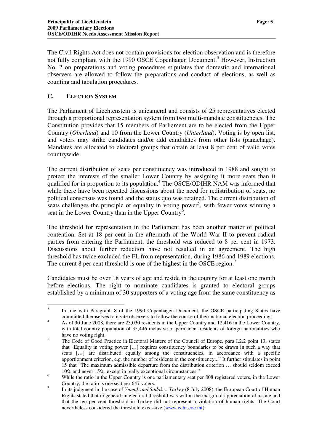The Civil Rights Act does not contain provisions for election observation and is therefore not fully compliant with the 1990 OSCE Copenhagen Document.<sup>3</sup> However, Instruction No. 2 on preparations and voting procedures stipulates that domestic and international observers are allowed to follow the preparations and conduct of elections, as well as counting and tabulation procedures.

#### **C. ELECTION SYSTEM**

The Parliament of Liechtenstein is unicameral and consists of 25 representatives elected through a proportional representation system from two multi-mandate constituencies. The Constitution provides that 15 members of Parliament are to be elected from the Upper Country (*Oberland*) and 10 from the Lower Country (*Unterland*). Voting is by open list, and voters may strike candidates and/or add candidates from other lists (panachage). Mandates are allocated to electoral groups that obtain at least 8 per cent of valid votes countrywide.

The current distribution of seats per constituency was introduced in 1988 and sought to protect the interests of the smaller Lower Country by assigning it more seats than it qualified for in proportion to its population.<sup>4</sup> The OSCE/ODIHR NAM was informed that while there have been repeated discussions about the need for redistribution of seats, no political consensus was found and the status quo was retained. The current distribution of seats challenges the principle of equality in voting power<sup>5</sup>, with fewer votes winning a seat in the Lower Country than in the Upper Country<sup>6</sup>.

The threshold for representation in the Parliament has been another matter of political contention. Set at 18 per cent in the aftermath of the World War II to prevent radical parties from entering the Parliament, the threshold was reduced to 8 per cent in 1973. Discussions about further reduction have not resulted in an agreement. The high threshold has twice excluded the FL from representation, during 1986 and 1989 elections. The current 8 per cent threshold is one of the highest in the OSCE region.<sup>7</sup>

Candidates must be over 18 years of age and reside in the country for at least one month before elections. The right to nominate candidates is granted to electoral groups established by a minimum of 30 supporters of a voting age from the same constituency as

<sup>3</sup> In line with Paragraph 8 of the 1990 Copenhagen Document, the OSCE participating States have committed themselves to invite observers to follow the course of their national election proceedings.

<sup>&</sup>lt;sup>4</sup> As of 30 June 2008, there are 23,030 residents in the Upper Country and 12,416 in the Lower Country, with total country population of 35,446 inclusive of permanent residents of foreign nationalities who have no voting right.

<sup>&</sup>lt;sup>5</sup> The Code of Good Practice in Electoral Matters of the Council of Europe, para I.2.2 point 13, states that "Equality in voting power […] requires constituency boundaries to be drawn in such a way that seats […] are distributed equally among the constituencies, in accordance with a specific apportionment criterion, e.g. the number of residents in the constituency..." It further stipulates in point 15 that "The maximum admissible departure from the distribution criterion … should seldom exceed 10% and never 15%, except in really exceptional circumstances."

<sup>&</sup>lt;sup>6</sup> While the ratio in the Upper Country is one parliamentary seat per 808 registered voters, in the Lower Country, the ratio is one seat per 647 voters.

<sup>7</sup> In its judgment in the case of *Yumak and Sadak v. Turkey* (8 July 2008), the European Court of Human Rights stated that in general an electoral threshold was within the margin of appreciation of a state and that the ten per cent threshold in Turkey did not represent a violation of human rights. The Court nevertheless considered the threshold excessive (www.echr.coe.int).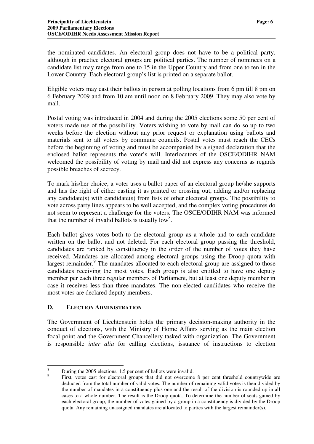the nominated candidates. An electoral group does not have to be a political party, although in practice electoral groups are political parties. The number of nominees on a candidate list may range from one to 15 in the Upper Country and from one to ten in the Lower Country. Each electoral group's list is printed on a separate ballot.

Eligible voters may cast their ballots in person at polling locations from 6 pm till 8 pm on 6 February 2009 and from 10 am until noon on 8 February 2009. They may also vote by mail.

Postal voting was introduced in 2004 and during the 2005 elections some 50 per cent of voters made use of the possibility. Voters wishing to vote by mail can do so up to two weeks before the election without any prior request or explanation using ballots and materials sent to all voters by commune councils. Postal votes must reach the CECs before the beginning of voting and must be accompanied by a signed declaration that the enclosed ballot represents the voter's will. Interlocutors of the OSCE/ODIHR NAM welcomed the possibility of voting by mail and did not express any concerns as regards possible breaches of secrecy.

To mark his/her choice, a voter uses a ballot paper of an electoral group he/she supports and has the right of either casting it as printed or crossing out, adding and/or replacing any candidate(s) with candidate(s) from lists of other electoral groups. The possibility to vote across party lines appears to be well accepted, and the complex voting procedures do not seem to represent a challenge for the voters. The OSCE/ODIHR NAM was informed that the number of invalid ballots is usually low<sup>8</sup>.

Each ballot gives votes both to the electoral group as a whole and to each candidate written on the ballot and not deleted. For each electoral group passing the threshold, candidates are ranked by constituency in the order of the number of votes they have received. Mandates are allocated among electoral groups using the Droop quota with largest remainder.<sup>9</sup> The mandates allocated to each electoral group are assigned to those candidates receiving the most votes. Each group is also entitled to have one deputy member per each three regular members of Parliament, but at least one deputy member in case it receives less than three mandates. The non-elected candidates who receive the most votes are declared deputy members.

#### **D. ELECTION ADMINISTRATION**

The Government of Liechtenstein holds the primary decision-making authority in the conduct of elections, with the Ministry of Home Affairs serving as the main election focal point and the Government Chancellery tasked with organization. The Government is responsible *inter alia* for calling elections, issuance of instructions to election

<sup>8</sup> During the 2005 elections, 1.5 per cent of ballots were invalid. 9

First, votes cast for electoral groups that did not overcome 8 per cent threshold countrywide are deducted from the total number of valid votes. The number of remaining valid votes is then divided by the number of mandates in a constituency plus one and the result of the division is rounded up in all cases to a whole number. The result is the Droop quota. To determine the number of seats gained by each electoral group, the number of votes gained by a group in a constituency is divided by the Droop quota. Any remaining unassigned mandates are allocated to parties with the largest remainder(s).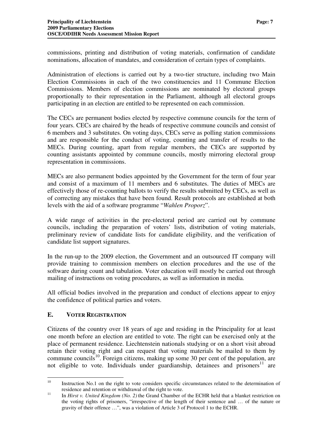commissions, printing and distribution of voting materials, confirmation of candidate nominations, allocation of mandates, and consideration of certain types of complaints.

Administration of elections is carried out by a two-tier structure, including two Main Election Commissions in each of the two constituencies and 11 Commune Election Commissions. Members of election commissions are nominated by electoral groups proportionally to their representation in the Parliament, although all electoral groups participating in an election are entitled to be represented on each commission.

The CECs are permanent bodies elected by respective commune councils for the term of four years. CECs are chaired by the heads of respective commune councils and consist of 6 members and 3 substitutes. On voting days, CECs serve as polling station commissions and are responsible for the conduct of voting, counting and transfer of results to the MECs. During counting, apart from regular members, the CECs are supported by counting assistants appointed by commune councils, mostly mirroring electoral group representation in commissions.

MECs are also permanent bodies appointed by the Government for the term of four year and consist of a maximum of 11 members and 6 substitutes. The duties of MECs are effectively those of re-counting ballots to verify the results submitted by CECs, as well as of correcting any mistakes that have been found. Result protocols are established at both levels with the aid of a software programme "*Wahlen Proporz*".

A wide range of activities in the pre-electoral period are carried out by commune councils, including the preparation of voters' lists, distribution of voting materials, preliminary review of candidate lists for candidate eligibility, and the verification of candidate list support signatures.

In the run-up to the 2009 election, the Government and an outsourced IT company will provide training to commission members on election procedures and the use of the software during count and tabulation. Voter education will mostly be carried out through mailing of instructions on voting procedures, as well as information in media.

All official bodies involved in the preparation and conduct of elections appear to enjoy the confidence of political parties and voters.

#### **E. VOTER REGISTRATION**

Citizens of the country over 18 years of age and residing in the Principality for at least one month before an election are entitled to vote. The right can be exercised only at the place of permanent residence. Liechtenstein nationals studying or on a short visit abroad retain their voting right and can request that voting materials be mailed to them by commune councils<sup>10</sup>. Foreign citizens, making up some 30 per cent of the population, are not eligible to vote. Individuals under guardianship, detainees and prisoners<sup>11</sup> are

<sup>10</sup> Instruction No.1 on the right to vote considers specific circumstances related to the determination of residence and retention or withdrawal of the right to vote.

<sup>11</sup> In *Hirst v. United Kingdom (No. 2)* the Grand Chamber of the ECHR held that a blanket restriction on the voting rights of prisoners, "irrespective of the length of their sentence and … of the nature or gravity of their offence …", was a violation of Article 3 of Protocol 1 to the ECHR.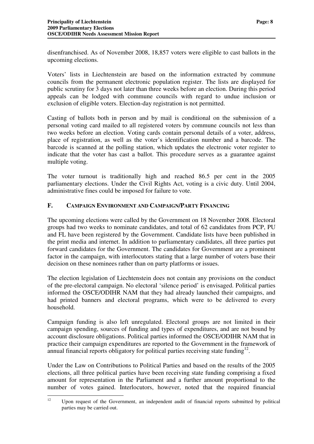disenfranchised. As of November 2008, 18,857 voters were eligible to cast ballots in the upcoming elections.

Voters' lists in Liechtenstein are based on the information extracted by commune councils from the permanent electronic population register. The lists are displayed for public scrutiny for 3 days not later than three weeks before an election. During this period appeals can be lodged with commune councils with regard to undue inclusion or exclusion of eligible voters. Election-day registration is not permitted.

Casting of ballots both in person and by mail is conditional on the submission of a personal voting card mailed to all registered voters by commune councils not less than two weeks before an election. Voting cards contain personal details of a voter, address, place of registration, as well as the voter's identification number and a barcode. The barcode is scanned at the polling station, which updates the electronic voter register to indicate that the voter has cast a ballot. This procedure serves as a guarantee against multiple voting.

The voter turnout is traditionally high and reached 86.5 per cent in the 2005 parliamentary elections. Under the Civil Rights Act, voting is a civic duty. Until 2004, administrative fines could be imposed for failure to vote.

#### **F. CAMPAIGN ENVIRONMENT AND CAMPAIGN/PARTY FINANCING**

The upcoming elections were called by the Government on 18 November 2008. Electoral groups had two weeks to nominate candidates, and total of 62 candidates from PCP, PU and FL have been registered by the Government. Candidate lists have been published in the print media and internet. In addition to parliamentary candidates, all three parties put forward candidates for the Government. The candidates for Government are a prominent factor in the campaign, with interlocutors stating that a large number of voters base their decision on these nominees rather than on party platforms or issues.

The election legislation of Liechtenstein does not contain any provisions on the conduct of the pre-electoral campaign. No electoral 'silence period' is envisaged. Political parties informed the OSCE/ODIHR NAM that they had already launched their campaigns, and had printed banners and electoral programs, which were to be delivered to every household.

Campaign funding is also left unregulated. Electoral groups are not limited in their campaign spending, sources of funding and types of expenditures, and are not bound by account disclosure obligations. Political parties informed the OSCE/ODIHR NAM that in practice their campaign expenditures are reported to the Government in the framework of annual financial reports obligatory for political parties receiving state funding<sup>12</sup>.

Under the Law on Contributions to Political Parties and based on the results of the 2005 elections, all three political parties have been receiving state funding comprising a fixed amount for representation in the Parliament and a further amount proportional to the number of votes gained. Interlocutors, however, noted that the required financial

 $12$  Upon request of the Government, an independent audit of financial reports submitted by political parties may be carried out.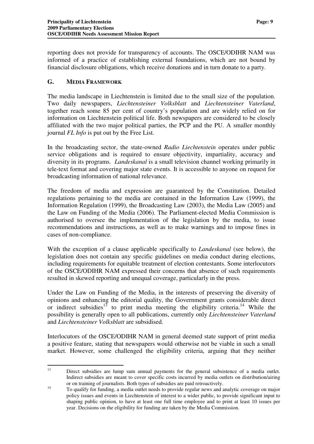reporting does not provide for transparency of accounts. The OSCE/ODIHR NAM was informed of a practice of establishing external foundations, which are not bound by financial disclosure obligations, which receive donations and in turn donate to a party.

## **G. MEDIA FRAMEWORK**

The media landscape in Liechtenstein is limited due to the small size of the population. Two daily newspapers, *Liechtensteiner Volksblatt* and *Liechtensteiner Vaterland*, together reach some 85 per cent of country's population and are widely relied on for information on Liechtenstein political life. Both newspapers are considered to be closely affiliated with the two major political parties, the PCP and the PU. A smaller monthly journal *FL Info* is put out by the Free List.

In the broadcasting sector, the state-owned *Radio Liechtenstein* operates under public service obligations and is required to ensure objectivity, impartiality, accuracy and diversity in its programs. *Landeskanal* is a small television channel working primarily in tele-text format and covering major state events. It is accessible to anyone on request for broadcasting information of national relevance.

The freedom of media and expression are guaranteed by the Constitution. Detailed regulations pertaining to the media are contained in the Information Law (1999), the Information Regulation (1999), the Broadcasting Law (2003), the Media Law (2005) and the Law on Funding of the Media (2006). The Parliament-elected Media Commission is authorised to oversee the implementation of the legislation by the media, to issue recommendations and instructions, as well as to make warnings and to impose fines in cases of non-compliance.

With the exception of a clause applicable specifically to *Landeskanal* (see below), the legislation does not contain any specific guidelines on media conduct during elections, including requirements for equitable treatment of election contestants. Some interlocutors of the OSCE/ODIHR NAM expressed their concerns that absence of such requirements resulted in skewed reporting and unequal coverage, particularly in the press.

Under the Law on Funding of the Media, in the interests of preserving the diversity of opinions and enhancing the editorial quality, the Government grants considerable direct or indirect subsidies<sup>13</sup> to print media meeting the eligibility criteria.<sup>14</sup> While the possibility is generally open to all publications, currently only *Liechtensteiner Vaterland* and *Liechtensteiner Volksblatt* are subsidised.

Interlocutors of the OSCE/ODIHR NAM in general deemed state support of print media a positive feature, stating that newspapers would otherwise not be viable in such a small market. However, some challenged the eligibility criteria, arguing that they neither

<sup>&</sup>lt;sup>13</sup> Direct subsidies are lump sum annual payments for the general subsistence of a media outlet. Indirect subsidies are meant to cover specific costs incurred by media outlets on distribution/airing or on training of journalists. Both types of subsidies are paid retroactively.

<sup>&</sup>lt;sup>14</sup> To qualify for funding, a media outlet needs to provide regular news and analytic coverage on major policy issues and events in Liechtenstein of interest to a wider public, to provide significant input to shaping public opinion, to have at least one full time employee and to print at least 10 issues per year. Decisions on the eligibility for funding are taken by the Media Commission.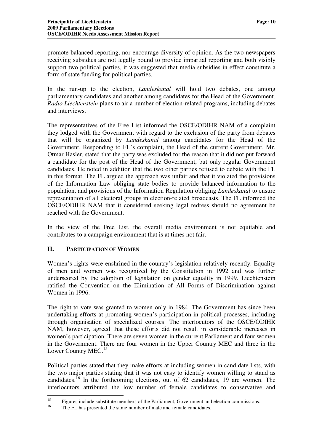promote balanced reporting, nor encourage diversity of opinion. As the two newspapers receiving subsidies are not legally bound to provide impartial reporting and both visibly support two political parties, it was suggested that media subsidies in effect constitute a form of state funding for political parties.

In the run-up to the election, *Landeskanal* will hold two debates, one among parliamentary candidates and another among candidates for the Head of the Government. *Radio Liechtenstein* plans to air a number of election-related programs, including debates and interviews.

The representatives of the Free List informed the OSCE/ODIHR NAM of a complaint they lodged with the Government with regard to the exclusion of the party from debates that will be organized by *Landeskanal* among candidates for the Head of the Government. Responding to FL's complaint, the Head of the current Government, Mr. Otmar Hasler, stated that the party was excluded for the reason that it did not put forward a candidate for the post of the Head of the Government, but only regular Government candidates. He noted in addition that the two other parties refused to debate with the FL in this format. The FL argued the approach was unfair and that it violated the provisions of the Information Law obliging state bodies to provide balanced information to the population, and provisions of the Information Regulation obliging *Landeskanal* to ensure representation of all electoral groups in election-related broadcasts. The FL informed the OSCE/ODIHR NAM that it considered seeking legal redress should no agreement be reached with the Government.

In the view of the Free List, the overall media environment is not equitable and contributes to a campaign environment that is at times not fair.

#### **H. PARTICIPATION OF WOMEN**

Women's rights were enshrined in the country's legislation relatively recently. Equality of men and women was recognized by the Constitution in 1992 and was further underscored by the adoption of legislation on gender equality in 1999. Liechtenstein ratified the Convention on the Elimination of All Forms of Discrimination against Women in 1996.

The right to vote was granted to women only in 1984. The Government has since been undertaking efforts at promoting women's participation in political processes, including through organisation of specialized courses. The interlocutors of the OSCE/ODIHR NAM, however, agreed that these efforts did not result in considerable increases in women's participation. There are seven women in the current Parliament and four women in the Government. There are four women in the Upper Country MEC and three in the Lower Country MEC.<sup>15</sup>

Political parties stated that they make efforts at including women in candidate lists, with the two major parties stating that it was not easy to identify women willing to stand as candidates.<sup>16</sup> In the forthcoming elections, out of 62 candidates, 19 are women. The interlocutors attributed the low number of female candidates to conservative and

<sup>15</sup> Figures include substitute members of the Parliament, Government and election commissions.

<sup>&</sup>lt;sup>16</sup> The FL has presented the same number of male and female candidates.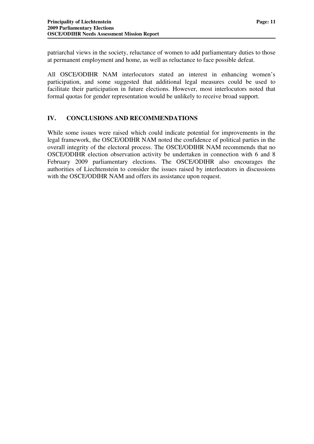patriarchal views in the society, reluctance of women to add parliamentary duties to those at permanent employment and home, as well as reluctance to face possible defeat.

All OSCE/ODIHR NAM interlocutors stated an interest in enhancing women's participation, and some suggested that additional legal measures could be used to facilitate their participation in future elections. However, most interlocutors noted that formal quotas for gender representation would be unlikely to receive broad support.

## **IV. CONCLUSIONS AND RECOMMENDATIONS**

While some issues were raised which could indicate potential for improvements in the legal framework, the OSCE/ODIHR NAM noted the confidence of political parties in the overall integrity of the electoral process. The OSCE/ODIHR NAM recommends that no OSCE/ODIHR election observation activity be undertaken in connection with 6 and 8 February 2009 parliamentary elections. The OSCE/ODIHR also encourages the authorities of Liechtenstein to consider the issues raised by interlocutors in discussions with the OSCE/ODIHR NAM and offers its assistance upon request.